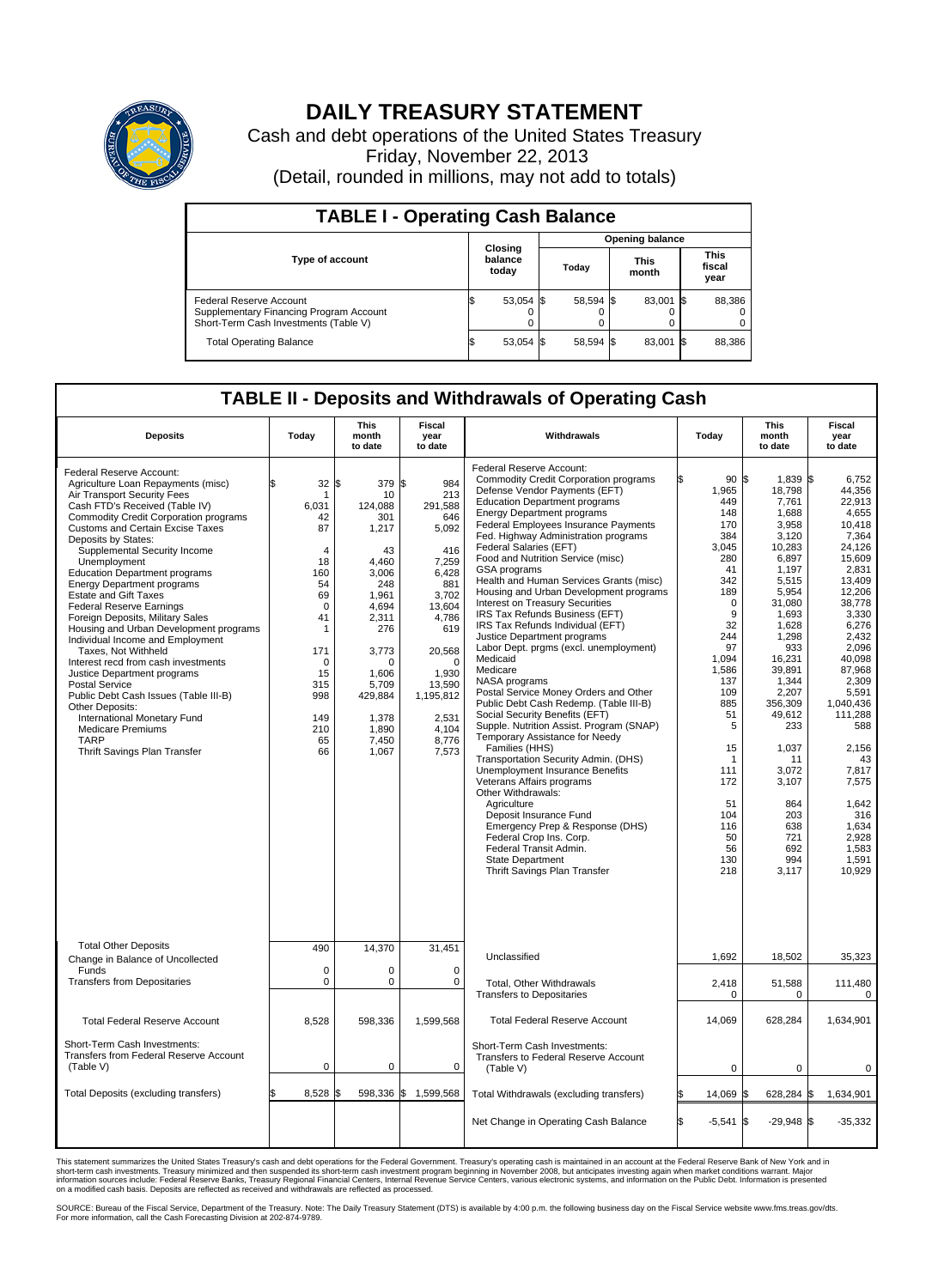

## **DAILY TREASURY STATEMENT**

Cash and debt operations of the United States Treasury Friday, November 22, 2013 (Detail, rounded in millions, may not add to totals)

| <b>TABLE I - Operating Cash Balance</b>                                                                     |  |                             |  |                        |  |                      |  |                               |  |
|-------------------------------------------------------------------------------------------------------------|--|-----------------------------|--|------------------------|--|----------------------|--|-------------------------------|--|
|                                                                                                             |  |                             |  | <b>Opening balance</b> |  |                      |  |                               |  |
| <b>Type of account</b>                                                                                      |  | Closing<br>balance<br>today |  | Today                  |  | <b>This</b><br>month |  | <b>This</b><br>fiscal<br>year |  |
| Federal Reserve Account<br>Supplementary Financing Program Account<br>Short-Term Cash Investments (Table V) |  | $53,054$ \$                 |  | 58,594 \$              |  | 83,001 \$            |  | 88,386                        |  |
| <b>Total Operating Balance</b>                                                                              |  | 53,054 \$                   |  | 58,594 \$              |  | 83,001 \$            |  | 88,386                        |  |

## **TABLE II - Deposits and Withdrawals of Operating Cash**

| <b>Deposits</b>                                                                                                                                                                                                                                                                                                                                                                                                                                                                                                                                                                                                                                                                                                                                                                                                                                          | Today                                                                                                                                                                   | This<br>month<br>to date                                                                                                                                                                              | Fiscal<br>year<br>to date                                                                                                                                                                          | Withdrawals                                                                                                                                                                                                                                                                                                                                                                                                                                                                                                                                                                                                                                                                                                                                                                                                                                                                                                                                                                                                                                                                                                                                                                                                          | Today                                                                                                                                                                                                                                | <b>This</b><br>month<br>to date                                                                                                                                                                                                                                                                        | Fiscal<br>year<br>to date                                                                                                                                                                                                                                                                                                |
|----------------------------------------------------------------------------------------------------------------------------------------------------------------------------------------------------------------------------------------------------------------------------------------------------------------------------------------------------------------------------------------------------------------------------------------------------------------------------------------------------------------------------------------------------------------------------------------------------------------------------------------------------------------------------------------------------------------------------------------------------------------------------------------------------------------------------------------------------------|-------------------------------------------------------------------------------------------------------------------------------------------------------------------------|-------------------------------------------------------------------------------------------------------------------------------------------------------------------------------------------------------|----------------------------------------------------------------------------------------------------------------------------------------------------------------------------------------------------|----------------------------------------------------------------------------------------------------------------------------------------------------------------------------------------------------------------------------------------------------------------------------------------------------------------------------------------------------------------------------------------------------------------------------------------------------------------------------------------------------------------------------------------------------------------------------------------------------------------------------------------------------------------------------------------------------------------------------------------------------------------------------------------------------------------------------------------------------------------------------------------------------------------------------------------------------------------------------------------------------------------------------------------------------------------------------------------------------------------------------------------------------------------------------------------------------------------------|--------------------------------------------------------------------------------------------------------------------------------------------------------------------------------------------------------------------------------------|--------------------------------------------------------------------------------------------------------------------------------------------------------------------------------------------------------------------------------------------------------------------------------------------------------|--------------------------------------------------------------------------------------------------------------------------------------------------------------------------------------------------------------------------------------------------------------------------------------------------------------------------|
| Federal Reserve Account:<br>Agriculture Loan Repayments (misc)<br>Air Transport Security Fees<br>Cash FTD's Received (Table IV)<br>Commodity Credit Corporation programs<br><b>Customs and Certain Excise Taxes</b><br>Deposits by States:<br>Supplemental Security Income<br>Unemployment<br><b>Education Department programs</b><br><b>Energy Department programs</b><br><b>Estate and Gift Taxes</b><br><b>Federal Reserve Earnings</b><br>Foreign Deposits, Military Sales<br>Housing and Urban Development programs<br>Individual Income and Employment<br>Taxes, Not Withheld<br>Interest recd from cash investments<br>Justice Department programs<br><b>Postal Service</b><br>Public Debt Cash Issues (Table III-B)<br>Other Deposits:<br>International Monetary Fund<br><b>Medicare Premiums</b><br><b>TARP</b><br>Thrift Savings Plan Transfer | \$<br>32<br>-1<br>6,031<br>42<br>87<br>4<br>18<br>160<br>54<br>69<br>$\mathbf 0$<br>41<br>$\mathbf{1}$<br>171<br>$\Omega$<br>15<br>315<br>998<br>149<br>210<br>65<br>66 | l\$<br>379 \$<br>10<br>124,088<br>301<br>1,217<br>43<br>4.460<br>3,006<br>248<br>1,961<br>4,694<br>2,311<br>276<br>3,773<br>$\Omega$<br>1.606<br>5,709<br>429,884<br>1,378<br>1,890<br>7,450<br>1,067 | 984<br>213<br>291,588<br>646<br>5,092<br>416<br>7,259<br>6,428<br>881<br>3,702<br>13,604<br>4,786<br>619<br>20,568<br>$\Omega$<br>1.930<br>13,590<br>1,195,812<br>2,531<br>4,104<br>8,776<br>7,573 | Federal Reserve Account:<br><b>Commodity Credit Corporation programs</b><br>Defense Vendor Payments (EFT)<br><b>Education Department programs</b><br><b>Energy Department programs</b><br>Federal Employees Insurance Payments<br>Fed. Highway Administration programs<br>Federal Salaries (EFT)<br>Food and Nutrition Service (misc)<br>GSA programs<br>Health and Human Services Grants (misc)<br>Housing and Urban Development programs<br>Interest on Treasury Securities<br>IRS Tax Refunds Business (EFT)<br>IRS Tax Refunds Individual (EFT)<br>Justice Department programs<br>Labor Dept. prgms (excl. unemployment)<br>Medicaid<br>Medicare<br>NASA programs<br>Postal Service Money Orders and Other<br>Public Debt Cash Redemp. (Table III-B)<br>Social Security Benefits (EFT)<br>Supple. Nutrition Assist. Program (SNAP)<br>Temporary Assistance for Needy<br>Families (HHS)<br>Transportation Security Admin. (DHS)<br>Unemployment Insurance Benefits<br>Veterans Affairs programs<br>Other Withdrawals:<br>Agriculture<br>Deposit Insurance Fund<br>Emergency Prep & Response (DHS)<br>Federal Crop Ins. Corp.<br>Federal Transit Admin.<br><b>State Department</b><br>Thrift Savings Plan Transfer | 90 \$<br>1,965<br>449<br>148<br>170<br>384<br>3.045<br>280<br>41<br>342<br>189<br>0<br>9<br>32<br>244<br>97<br>1,094<br>1,586<br>137<br>109<br>885<br>51<br>5<br>15<br>1<br>111<br>172<br>51<br>104<br>116<br>50<br>56<br>130<br>218 | 1,839 \$<br>18,798<br>7,761<br>1,688<br>3,958<br>3,120<br>10,283<br>6,897<br>1,197<br>5,515<br>5,954<br>31,080<br>1,693<br>1,628<br>1.298<br>933<br>16,231<br>39,891<br>1,344<br>2,207<br>356.309<br>49,612<br>233<br>1,037<br>11<br>3,072<br>3,107<br>864<br>203<br>638<br>721<br>692<br>994<br>3,117 | 6,752<br>44,356<br>22.913<br>4,655<br>10,418<br>7,364<br>24.126<br>15,609<br>2,831<br>13,409<br>12,206<br>38,778<br>3,330<br>6,276<br>2,432<br>2.096<br>40,098<br>87,968<br>2.309<br>5,591<br>1.040.436<br>111,288<br>588<br>2,156<br>43<br>7,817<br>7,575<br>1,642<br>316<br>1,634<br>2,928<br>1,583<br>1,591<br>10,929 |
| <b>Total Other Deposits</b><br>Change in Balance of Uncollected                                                                                                                                                                                                                                                                                                                                                                                                                                                                                                                                                                                                                                                                                                                                                                                          | 490                                                                                                                                                                     | 14,370                                                                                                                                                                                                | 31,451                                                                                                                                                                                             | Unclassified                                                                                                                                                                                                                                                                                                                                                                                                                                                                                                                                                                                                                                                                                                                                                                                                                                                                                                                                                                                                                                                                                                                                                                                                         | 1,692                                                                                                                                                                                                                                | 18,502                                                                                                                                                                                                                                                                                                 | 35,323                                                                                                                                                                                                                                                                                                                   |
| Funds<br><b>Transfers from Depositaries</b>                                                                                                                                                                                                                                                                                                                                                                                                                                                                                                                                                                                                                                                                                                                                                                                                              | $\mathbf 0$<br>$\pmb{0}$                                                                                                                                                | 0<br>0                                                                                                                                                                                                | 0<br>$\mathbf 0$                                                                                                                                                                                   | Total, Other Withdrawals<br><b>Transfers to Depositaries</b>                                                                                                                                                                                                                                                                                                                                                                                                                                                                                                                                                                                                                                                                                                                                                                                                                                                                                                                                                                                                                                                                                                                                                         | 2,418<br>0                                                                                                                                                                                                                           | 51,588<br>$\mathbf 0$                                                                                                                                                                                                                                                                                  | 111,480<br>$\mathbf 0$                                                                                                                                                                                                                                                                                                   |
| <b>Total Federal Reserve Account</b>                                                                                                                                                                                                                                                                                                                                                                                                                                                                                                                                                                                                                                                                                                                                                                                                                     | 8,528                                                                                                                                                                   | 598,336                                                                                                                                                                                               | 1,599,568                                                                                                                                                                                          | <b>Total Federal Reserve Account</b>                                                                                                                                                                                                                                                                                                                                                                                                                                                                                                                                                                                                                                                                                                                                                                                                                                                                                                                                                                                                                                                                                                                                                                                 | 14,069                                                                                                                                                                                                                               | 628,284                                                                                                                                                                                                                                                                                                | 1,634,901                                                                                                                                                                                                                                                                                                                |
| Short-Term Cash Investments:<br>Transfers from Federal Reserve Account<br>(Table V)                                                                                                                                                                                                                                                                                                                                                                                                                                                                                                                                                                                                                                                                                                                                                                      | $\mathbf 0$                                                                                                                                                             | 0                                                                                                                                                                                                     | $\Omega$                                                                                                                                                                                           | Short-Term Cash Investments:<br>Transfers to Federal Reserve Account<br>(Table V)                                                                                                                                                                                                                                                                                                                                                                                                                                                                                                                                                                                                                                                                                                                                                                                                                                                                                                                                                                                                                                                                                                                                    | $\mathbf 0$                                                                                                                                                                                                                          | $\mathbf 0$                                                                                                                                                                                                                                                                                            | 0                                                                                                                                                                                                                                                                                                                        |
| Total Deposits (excluding transfers)                                                                                                                                                                                                                                                                                                                                                                                                                                                                                                                                                                                                                                                                                                                                                                                                                     | \$<br>8.528                                                                                                                                                             | \$                                                                                                                                                                                                    | 598,336 \$ 1,599,568                                                                                                                                                                               | Total Withdrawals (excluding transfers)                                                                                                                                                                                                                                                                                                                                                                                                                                                                                                                                                                                                                                                                                                                                                                                                                                                                                                                                                                                                                                                                                                                                                                              | 14,069                                                                                                                                                                                                                               | l\$<br>628,284                                                                                                                                                                                                                                                                                         | 1\$<br>1,634,901                                                                                                                                                                                                                                                                                                         |
|                                                                                                                                                                                                                                                                                                                                                                                                                                                                                                                                                                                                                                                                                                                                                                                                                                                          |                                                                                                                                                                         |                                                                                                                                                                                                       |                                                                                                                                                                                                    | Net Change in Operating Cash Balance                                                                                                                                                                                                                                                                                                                                                                                                                                                                                                                                                                                                                                                                                                                                                                                                                                                                                                                                                                                                                                                                                                                                                                                 | l\$<br>$-5.541$                                                                                                                                                                                                                      | <b>S</b><br>$-29.948$ \\$                                                                                                                                                                                                                                                                              | $-35,332$                                                                                                                                                                                                                                                                                                                |

This statement summarizes the United States Treasury's cash and debt operations for the Federal Government. Treasury's operating cash is maintained in an account at the Federal Reserve Bank of New York and in<br>short-term ca

SOURCE: Bureau of the Fiscal Service, Department of the Treasury. Note: The Daily Treasury Statement (DTS) is available by 4:00 p.m. the following business day on the Fiscal Service website www.fms.treas.gov/dts.<br>For more